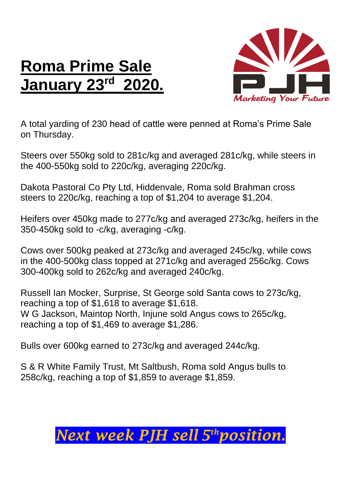## **Roma Prime Sale January 23 rd 2020.**



A total yarding of 230 head of cattle were penned at Roma's Prime Sale on Thursday.

Steers over 550kg sold to 281c/kg and averaged 281c/kg, while steers in the 400-550kg sold to 220c/kg, averaging 220c/kg.

Dakota Pastoral Co Pty Ltd, Hiddenvale, Roma sold Brahman cross steers to 220c/kg, reaching a top of \$1,204 to average \$1,204.

Heifers over 450kg made to 277c/kg and averaged 273c/kg, heifers in the 350-450kg sold to -c/kg, averaging -c/kg.

Cows over 500kg peaked at 273c/kg and averaged 245c/kg, while cows in the 400-500kg class topped at 271c/kg and averaged 256c/kg. Cows 300-400kg sold to 262c/kg and averaged 240c/kg.

Russell Ian Mocker, Surprise, St George sold Santa cows to 273c/kg, reaching a top of \$1,618 to average \$1,618. W G Jackson, Maintop North, Injune sold Angus cows to 265c/kg, reaching a top of \$1,469 to average \$1,286.

Bulls over 600kg earned to 273c/kg and averaged 244c/kg.

S & R White Family Trust, Mt Saltbush, Roma sold Angus bulls to 258c/kg, reaching a top of \$1,859 to average \$1,859.